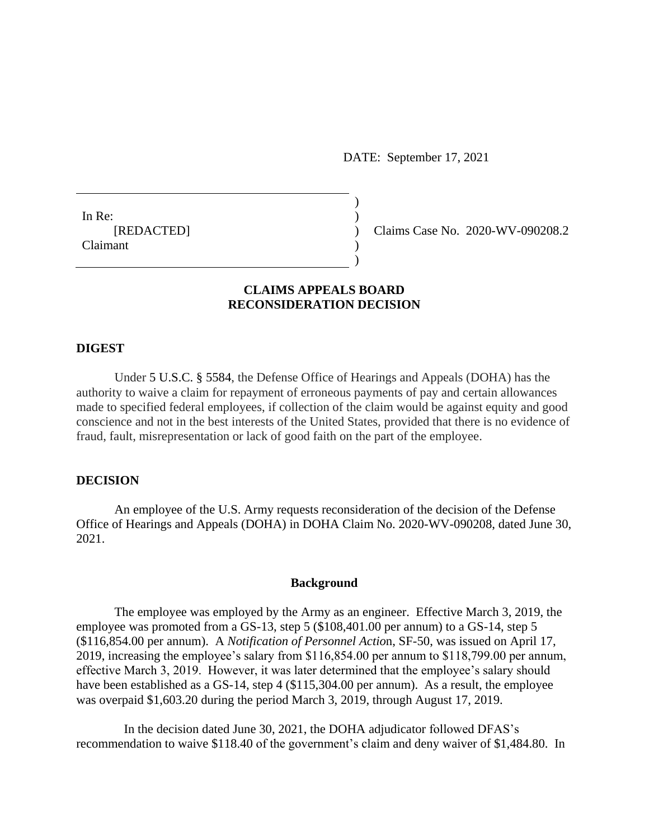DATE: September 17, 2021

In Re:  $\qquad \qquad$ ) [REDACTED] ) Claims Case No. 2020-WV-090208.2 Claimant )

# **CLAIMS APPEALS BOARD RECONSIDERATION DECISION**

 $)$ 

 $\overline{)}$ 

#### **DIGEST**

Under [5 U.S.C. § 5584,](https://a.next.westlaw.com/Link/Document/FullText?findType=L&pubNum=1000546&cite=5USCAS5584&originatingDoc=Ic5cf391e4e1411e18b05fdf15589d8e8&refType=LQ&originationContext=document&transitionType=DocumentItem&contextData=(sc.Search)) the Defense Office of Hearings and Appeals (DOHA) has the authority to waive a claim for repayment of erroneous payments of pay and certain allowances made to specified federal employees, if collection of the claim would be against equity and good conscience and not in the best interests of the United States, provided that there is no evidence of fraud, fault, misrepresentation or lack of good faith on the part of the employee.

### **DECISION**

An employee of the U.S. Army requests reconsideration of the decision of the Defense Office of Hearings and Appeals (DOHA) in DOHA Claim No. 2020-WV-090208, dated June 30, 2021.

### **Background**

The employee was employed by the Army as an engineer. Effective March 3, 2019, the employee was promoted from a GS-13, step 5 (\$108,401.00 per annum) to a GS-14, step 5 (\$116,854.00 per annum). A *Notification of Personnel Actio*n, SF-50, was issued on April 17, 2019, increasing the employee's salary from \$116,854.00 per annum to \$118,799.00 per annum, effective March 3, 2019. However, it was later determined that the employee's salary should have been established as a GS-14, step 4 (\$115,304.00 per annum). As a result, the employee was overpaid \$1,603.20 during the period March 3, 2019, through August 17, 2019.

 In the decision dated June 30, 2021, the DOHA adjudicator followed DFAS's recommendation to waive \$118.40 of the government's claim and deny waiver of \$1,484.80. In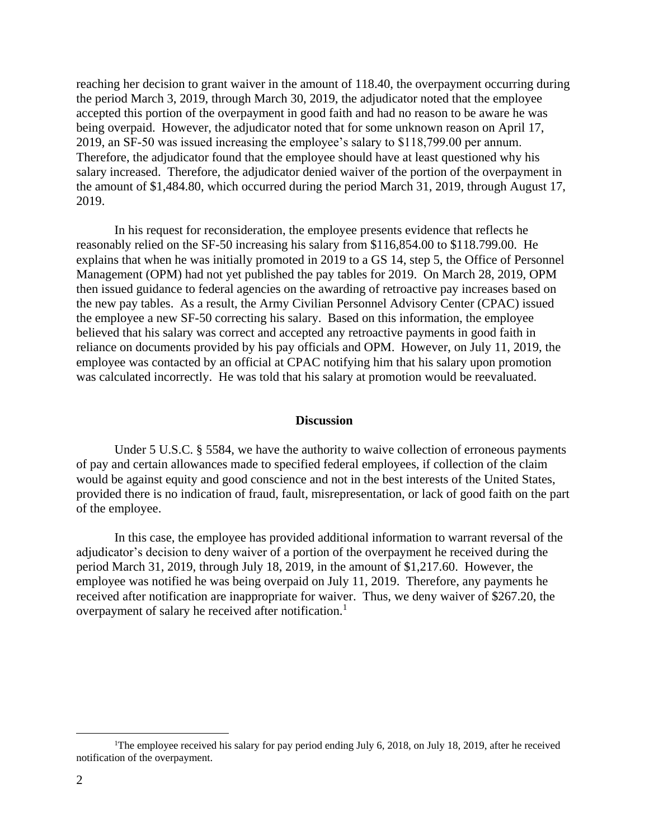reaching her decision to grant waiver in the amount of 118.40, the overpayment occurring during the period March 3, 2019, through March 30, 2019, the adjudicator noted that the employee accepted this portion of the overpayment in good faith and had no reason to be aware he was being overpaid. However, the adjudicator noted that for some unknown reason on April 17, 2019, an SF-50 was issued increasing the employee's salary to \$118,799.00 per annum. Therefore, the adjudicator found that the employee should have at least questioned why his salary increased. Therefore, the adjudicator denied waiver of the portion of the overpayment in the amount of \$1,484.80, which occurred during the period March 31, 2019, through August 17, 2019.

In his request for reconsideration, the employee presents evidence that reflects he reasonably relied on the SF-50 increasing his salary from \$116,854.00 to \$118.799.00. He explains that when he was initially promoted in 2019 to a GS 14, step 5, the Office of Personnel Management (OPM) had not yet published the pay tables for 2019. On March 28, 2019, OPM then issued guidance to federal agencies on the awarding of retroactive pay increases based on the new pay tables. As a result, the Army Civilian Personnel Advisory Center (CPAC) issued the employee a new SF-50 correcting his salary. Based on this information, the employee believed that his salary was correct and accepted any retroactive payments in good faith in reliance on documents provided by his pay officials and OPM. However, on July 11, 2019, the employee was contacted by an official at CPAC notifying him that his salary upon promotion was calculated incorrectly. He was told that his salary at promotion would be reevaluated.

#### **Discussion**

Under 5 U.S.C. § 5584, we have the authority to waive collection of erroneous payments of pay and certain allowances made to specified federal employees, if collection of the claim would be against equity and good conscience and not in the best interests of the United States, provided there is no indication of fraud, fault, misrepresentation, or lack of good faith on the part of the employee.

In this case, the employee has provided additional information to warrant reversal of the adjudicator's decision to deny waiver of a portion of the overpayment he received during the period March 31, 2019, through July 18, 2019, in the amount of \$1,217.60. However, the employee was notified he was being overpaid on July 11, 2019. Therefore, any payments he received after notification are inappropriate for waiver. Thus, we deny waiver of \$267.20, the overpayment of salary he received after notification.<sup>1</sup>

 $\overline{a}$ 

<sup>&</sup>lt;sup>1</sup>The employee received his salary for pay period ending July 6, 2018, on July 18, 2019, after he received notification of the overpayment.